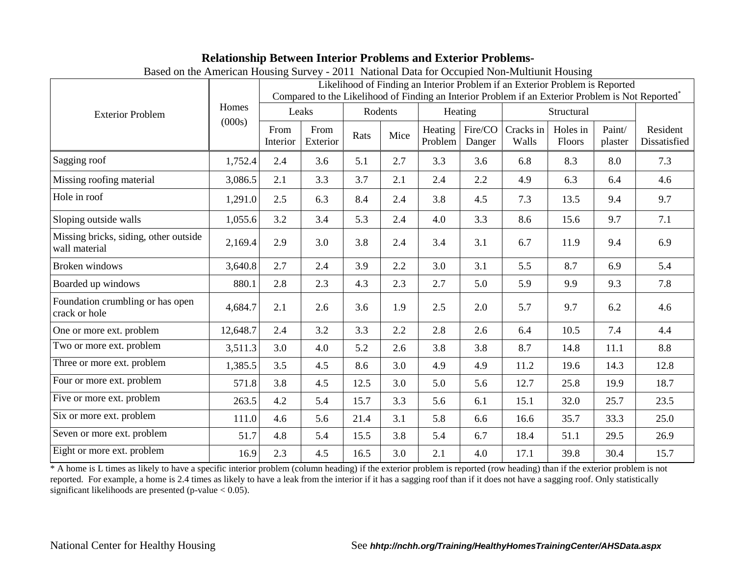## **Relationship Between Interior Problems and Exterior Problems-**

| Based on the American Housing Survey - 2011 National Data for Occupied Non-Muttium Housing |                 |                                                                                                                                                                                               |                  |         |      |                    |                   |                    |                    |                   |                          |
|--------------------------------------------------------------------------------------------|-----------------|-----------------------------------------------------------------------------------------------------------------------------------------------------------------------------------------------|------------------|---------|------|--------------------|-------------------|--------------------|--------------------|-------------------|--------------------------|
| <b>Exterior Problem</b>                                                                    | Homes<br>(000s) | Likelihood of Finding an Interior Problem if an Exterior Problem is Reported<br>Compared to the Likelihood of Finding an Interior Problem if an Exterior Problem is Not Reported <sup>*</sup> |                  |         |      |                    |                   |                    |                    |                   |                          |
|                                                                                            |                 | Leaks                                                                                                                                                                                         |                  | Rodents |      | Heating            |                   |                    | Structural         |                   |                          |
|                                                                                            |                 | From<br>Interior                                                                                                                                                                              | From<br>Exterior | Rats    | Mice | Heating<br>Problem | Fire/CO<br>Danger | Cracks in<br>Walls | Holes in<br>Floors | Paint/<br>plaster | Resident<br>Dissatisfied |
| Sagging roof                                                                               | 1,752.4         | 2.4                                                                                                                                                                                           | 3.6              | 5.1     | 2.7  | 3.3                | 3.6               | 6.8                | 8.3                | 8.0               | 7.3                      |
| Missing roofing material                                                                   | 3,086.5         | 2.1                                                                                                                                                                                           | 3.3              | 3.7     | 2.1  | 2.4                | 2.2               | 4.9                | 6.3                | 6.4               | 4.6                      |
| Hole in roof                                                                               | 1,291.0         | 2.5                                                                                                                                                                                           | 6.3              | 8.4     | 2.4  | 3.8                | 4.5               | 7.3                | 13.5               | 9.4               | 9.7                      |
| Sloping outside walls                                                                      | 1,055.6         | 3.2                                                                                                                                                                                           | 3.4              | 5.3     | 2.4  | 4.0                | 3.3               | 8.6                | 15.6               | 9.7               | 7.1                      |
| Missing bricks, siding, other outside<br>wall material                                     | 2,169.4         | 2.9                                                                                                                                                                                           | 3.0              | 3.8     | 2.4  | 3.4                | 3.1               | 6.7                | 11.9               | 9.4               | 6.9                      |
| <b>Broken</b> windows                                                                      | 3,640.8         | 2.7                                                                                                                                                                                           | 2.4              | 3.9     | 2.2  | 3.0                | 3.1               | 5.5                | 8.7                | 6.9               | 5.4                      |
| Boarded up windows                                                                         | 880.1           | 2.8                                                                                                                                                                                           | 2.3              | 4.3     | 2.3  | 2.7                | 5.0               | 5.9                | 9.9                | 9.3               | 7.8                      |
| Foundation crumbling or has open<br>crack or hole                                          | 4,684.7         | 2.1                                                                                                                                                                                           | 2.6              | 3.6     | 1.9  | 2.5                | 2.0               | 5.7                | 9.7                | 6.2               | 4.6                      |
| One or more ext. problem                                                                   | 12,648.7        | 2.4                                                                                                                                                                                           | 3.2              | 3.3     | 2.2  | 2.8                | 2.6               | 6.4                | 10.5               | 7.4               | 4.4                      |
| Two or more ext. problem                                                                   | 3,511.3         | 3.0                                                                                                                                                                                           | 4.0              | 5.2     | 2.6  | 3.8                | 3.8               | 8.7                | 14.8               | 11.1              | 8.8                      |
| Three or more ext. problem                                                                 | 1,385.5         | 3.5                                                                                                                                                                                           | 4.5              | 8.6     | 3.0  | 4.9                | 4.9               | 11.2               | 19.6               | 14.3              | 12.8                     |
| Four or more ext. problem                                                                  | 571.8           | 3.8                                                                                                                                                                                           | 4.5              | 12.5    | 3.0  | 5.0                | 5.6               | 12.7               | 25.8               | 19.9              | 18.7                     |
| Five or more ext. problem                                                                  | 263.5           | 4.2                                                                                                                                                                                           | 5.4              | 15.7    | 3.3  | 5.6                | 6.1               | 15.1               | 32.0               | 25.7              | 23.5                     |
| Six or more ext. problem                                                                   | 111.0           | 4.6                                                                                                                                                                                           | 5.6              | 21.4    | 3.1  | 5.8                | 6.6               | 16.6               | 35.7               | 33.3              | 25.0                     |
| Seven or more ext. problem                                                                 | 51.7            | 4.8                                                                                                                                                                                           | 5.4              | 15.5    | 3.8  | 5.4                | 6.7               | 18.4               | 51.1               | 29.5              | 26.9                     |
| Eight or more ext. problem                                                                 | 16.9            | 2.3                                                                                                                                                                                           | 4.5              | 16.5    | 3.0  | 2.1                | 4.0               | 17.1               | 39.8               | 30.4              | 15.7                     |

Based on the American Housing Survey - 2011 National Data for Occupied Non-Multiunit Housing

\* A home is L times as likely to have a specific interior problem (column heading) if the exterior problem is reported (row heading) than if the exterior problem is not reported. For example, a home is 2.4 times as likely to have a leak from the interior if it has a sagging roof than if it does not have a sagging roof. Only statistically significant likelihoods are presented (p-value < 0.05).